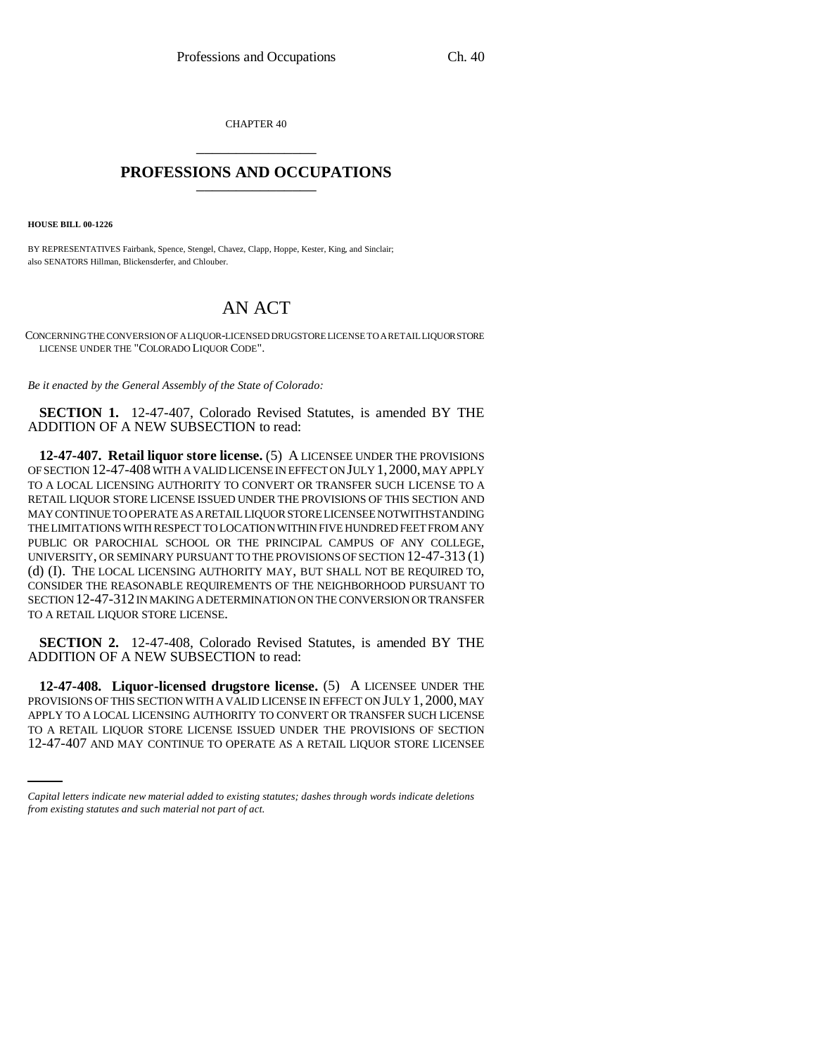CHAPTER 40 \_\_\_\_\_\_\_\_\_\_\_\_\_\_\_

## **PROFESSIONS AND OCCUPATIONS** \_\_\_\_\_\_\_\_\_\_\_\_\_\_\_

**HOUSE BILL 00-1226** 

BY REPRESENTATIVES Fairbank, Spence, Stengel, Chavez, Clapp, Hoppe, Kester, King, and Sinclair; also SENATORS Hillman, Blickensderfer, and Chlouber.

## AN ACT

CONCERNING THE CONVERSION OF A LIQUOR-LICENSED DRUGSTORE LICENSE TO A RETAIL LIQUOR STORE LICENSE UNDER THE "COLORADO LIQUOR CODE".

*Be it enacted by the General Assembly of the State of Colorado:*

**SECTION 1.** 12-47-407, Colorado Revised Statutes, is amended BY THE ADDITION OF A NEW SUBSECTION to read:

**12-47-407. Retail liquor store license.** (5) A LICENSEE UNDER THE PROVISIONS OF SECTION 12-47-408 WITH A VALID LICENSE IN EFFECT ON JULY 1,2000, MAY APPLY TO A LOCAL LICENSING AUTHORITY TO CONVERT OR TRANSFER SUCH LICENSE TO A RETAIL LIQUOR STORE LICENSE ISSUED UNDER THE PROVISIONS OF THIS SECTION AND MAY CONTINUE TO OPERATE AS A RETAIL LIQUOR STORE LICENSEE NOTWITHSTANDING THE LIMITATIONS WITH RESPECT TO LOCATION WITHIN FIVE HUNDRED FEET FROM ANY PUBLIC OR PAROCHIAL SCHOOL OR THE PRINCIPAL CAMPUS OF ANY COLLEGE, UNIVERSITY, OR SEMINARY PURSUANT TO THE PROVISIONS OF SECTION 12-47-313 (1) (d) (I). THE LOCAL LICENSING AUTHORITY MAY, BUT SHALL NOT BE REQUIRED TO, CONSIDER THE REASONABLE REQUIREMENTS OF THE NEIGHBORHOOD PURSUANT TO SECTION 12-47-312 IN MAKING A DETERMINATION ON THE CONVERSION OR TRANSFER TO A RETAIL LIQUOR STORE LICENSE.

**SECTION 2.** 12-47-408, Colorado Revised Statutes, is amended BY THE ADDITION OF A NEW SUBSECTION to read:

APPLY TO A LOCAL LICENSING AUTHORITY TO CONVERT OR TRANSFER SUCH LICENSE **12-47-408. Liquor-licensed drugstore license.** (5) A LICENSEE UNDER THE PROVISIONS OF THIS SECTION WITH A VALID LICENSE IN EFFECT ON JULY 1, 2000, MAY TO A RETAIL LIQUOR STORE LICENSE ISSUED UNDER THE PROVISIONS OF SECTION 12-47-407 AND MAY CONTINUE TO OPERATE AS A RETAIL LIQUOR STORE LICENSEE

*Capital letters indicate new material added to existing statutes; dashes through words indicate deletions from existing statutes and such material not part of act.*